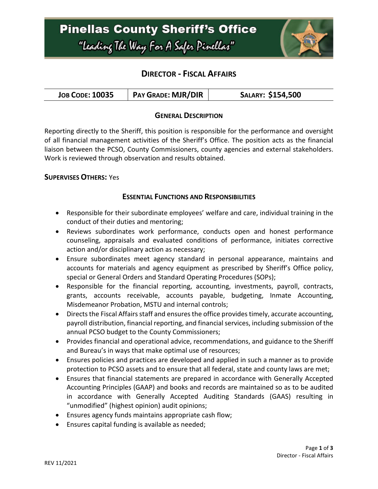### **Pinellas County Sheriff's Office** "Leading The Way For A Safer Pinellar"



### **DIRECTOR - FISCAL AFFAIRS**

| <b>PAY GRADE: MJR/DIR</b><br>SALARY: \$154,500<br><b>JOB CODE: 10035</b> |  |
|--------------------------------------------------------------------------|--|
|--------------------------------------------------------------------------|--|

### **GENERAL DESCRIPTION**

Reporting directly to the Sheriff, this position is responsible for the performance and oversight of all financial management activities of the Sheriff's Office. The position acts as the financial liaison between the PCSO, County Commissioners, county agencies and external stakeholders. Work is reviewed through observation and results obtained.

#### **SUPERVISES OTHERS:** Yes

#### **ESSENTIAL FUNCTIONS AND RESPONSIBILITIES**

- Responsible for their subordinate employees' welfare and care, individual training in the conduct of their duties and mentoring;
- Reviews subordinates work performance, conducts open and honest performance counseling, appraisals and evaluated conditions of performance, initiates corrective action and/or disciplinary action as necessary;
- Ensure subordinates meet agency standard in personal appearance, maintains and accounts for materials and agency equipment as prescribed by Sheriff's Office policy, special or General Orders and Standard Operating Procedures (SOPs);
- Responsible for the financial reporting, accounting, investments, payroll, contracts, grants, accounts receivable, accounts payable, budgeting, Inmate Accounting, Misdemeanor Probation, MSTU and internal controls;
- Directs the Fiscal Affairs staff and ensuresthe office provides timely, accurate accounting, payroll distribution, financial reporting, and financial services, including submission of the annual PCSO budget to the County Commissioners;
- Provides financial and operational advice, recommendations, and guidance to the Sheriff and Bureau's in ways that make optimal use of resources;
- Ensures policies and practices are developed and applied in such a manner as to provide protection to PCSO assets and to ensure that all federal, state and county laws are met;
- Ensures that financial statements are prepared in accordance with Generally Accepted Accounting Principles (GAAP) and books and records are maintained so as to be audited in accordance with Generally Accepted Auditing Standards (GAAS) resulting in "unmodified" (highest opinion) audit opinions;
- Ensures agency funds maintains appropriate cash flow;
- Ensures capital funding is available as needed;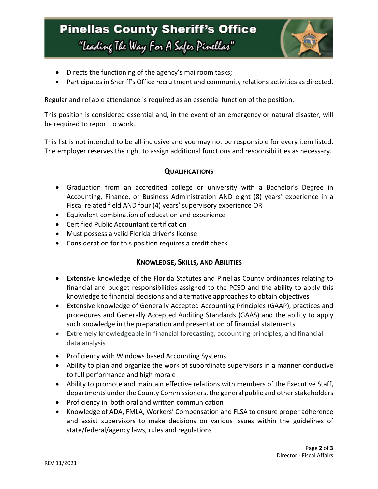# **Pinellas County Sheriff's Office** "Leading The Way For A Safer Pinellar"



- Directs the functioning of the agency's mailroom tasks;
- Participates in Sheriff's Office recruitment and community relations activities as directed.

Regular and reliable attendance is required as an essential function of the position.

This position is considered essential and, in the event of an emergency or natural disaster, will be required to report to work.

This list is not intended to be all-inclusive and you may not be responsible for every item listed. The employer reserves the right to assign additional functions and responsibilities as necessary.

### **QUALIFICATIONS**

- Graduation from an accredited college or university with a Bachelor's Degree in Accounting, Finance, or Business Administration AND eight (8) years' experience in a Fiscal related field AND four (4) years' supervisory experience OR
- Equivalent combination of education and experience
- Certified Public Accountant certification
- Must possess a valid Florida driver's license
- Consideration for this position requires a credit check

### **KNOWLEDGE, SKILLS, AND ABILITIES**

- Extensive knowledge of the Florida Statutes and Pinellas County ordinances relating to financial and budget responsibilities assigned to the PCSO and the ability to apply this knowledge to financial decisions and alternative approaches to obtain objectives
- Extensive knowledge of Generally Accepted Accounting Principles (GAAP), practices and procedures and Generally Accepted Auditing Standards (GAAS) and the ability to apply such knowledge in the preparation and presentation of financial statements
- Extremely knowledgeable in financial forecasting, accounting principles, and financial data analysis
- Proficiency with Windows based Accounting Systems
- Ability to plan and organize the work of subordinate supervisors in a manner conducive to full performance and high morale
- Ability to promote and maintain effective relations with members of the Executive Staff, departments under the County Commissioners, the general public and other stakeholders
- Proficiency in both oral and written communication
- Knowledge of ADA, FMLA, Workers' Compensation and FLSA to ensure proper adherence and assist supervisors to make decisions on various issues within the guidelines of state/federal/agency laws, rules and regulations